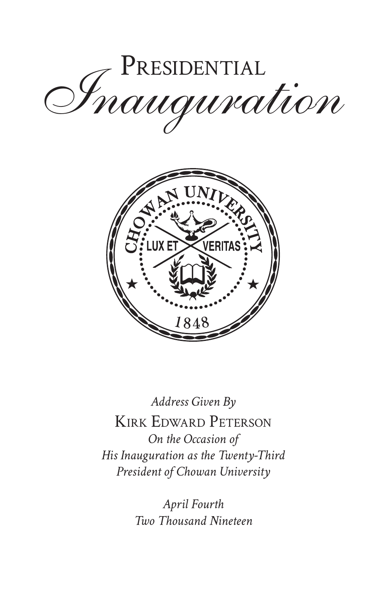



*Address Given By* Kirk Edward Peterson *On the Occasion of His Inauguration as the Twenty-Third President of Chowan University*

> *April Fourth Two Thousand Nineteen*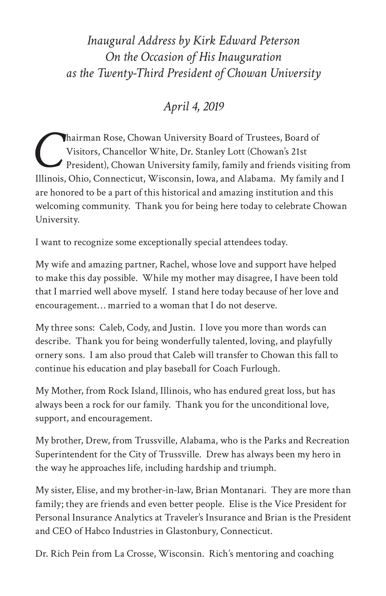## *Inaugural Address by Kirk Edward Peterson On the Occasion of His Inauguration as the Twenty-Third President of Chowan University*

*April 4, 2019*

hairman Rose, Chowan University Board of Trustees, Board of Visitors, Chancellor White, Dr. Stanley Lott (Chowan's 21st President), Chowan University family, family and friends visiting from Illinois, Ohio, Connecticut, Wisconsin, Iowa, and Alabama. My family and I are honored to be a part of this historical and amazing institution and this welcoming community. Thank you for being here today to celebrate Chowan University.

I want to recognize some exceptionally special attendees today.

My wife and amazing partner, Rachel, whose love and support have helped to make this day possible. While my mother may disagree, I have been told that I married well above myself. I stand here today because of her love and encouragement… married to a woman that I do not deserve.

My three sons: Caleb, Cody, and Justin. I love you more than words can describe. Thank you for being wonderfully talented, loving, and playfully ornery sons. I am also proud that Caleb will transfer to Chowan this fall to continue his education and play baseball for Coach Furlough.

My Mother, from Rock Island, Illinois, who has endured great loss, but has always been a rock for our family. Thank you for the unconditional love, support, and encouragement.

My brother, Drew, from Trussville, Alabama, who is the Parks and Recreation Superintendent for the City of Trussville. Drew has always been my hero in the way he approaches life, including hardship and triumph.

My sister, Elise, and my brother-in-law, Brian Montanari. They are more than family; they are friends and even better people. Elise is the Vice President for Personal Insurance Analytics at Traveler's Insurance and Brian is the President and CEO of Habco Industries in Glastonbury, Connecticut.

Dr. Rich Pein from La Crosse, Wisconsin. Rich's mentoring and coaching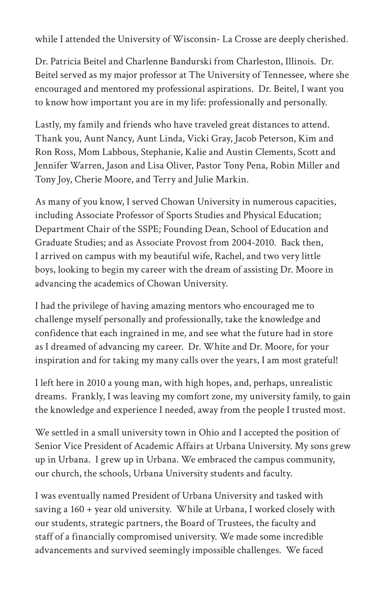while I attended the University of Wisconsin- La Crosse are deeply cherished.

Dr. Patricia Beitel and Charlenne Bandurski from Charleston, Illinois. Dr. Beitel served as my major professor at The University of Tennessee, where she encouraged and mentored my professional aspirations. Dr. Beitel, I want you to know how important you are in my life: professionally and personally.

Lastly, my family and friends who have traveled great distances to attend. Thank you, Aunt Nancy, Aunt Linda, Vicki Gray, Jacob Peterson, Kim and Ron Ross, Mom Labbous, Stephanie, Kalie and Austin Clements, Scott and Jennifer Warren, Jason and Lisa Oliver, Pastor Tony Pena, Robin Miller and Tony Joy, Cherie Moore, and Terry and Julie Markin.

As many of you know, I served Chowan University in numerous capacities, including Associate Professor of Sports Studies and Physical Education; Department Chair of the SSPE; Founding Dean, School of Education and Graduate Studies; and as Associate Provost from 2004-2010. Back then, I arrived on campus with my beautiful wife, Rachel, and two very little boys, looking to begin my career with the dream of assisting Dr. Moore in advancing the academics of Chowan University.

I had the privilege of having amazing mentors who encouraged me to challenge myself personally and professionally, take the knowledge and confidence that each ingrained in me, and see what the future had in store as I dreamed of advancing my career. Dr. White and Dr. Moore, for your inspiration and for taking my many calls over the years, I am most grateful!

I left here in 2010 a young man, with high hopes, and, perhaps, unrealistic dreams. Frankly, I was leaving my comfort zone, my university family, to gain the knowledge and experience I needed, away from the people I trusted most.

We settled in a small university town in Ohio and I accepted the position of Senior Vice President of Academic Affairs at Urbana University. My sons grew up in Urbana. I grew up in Urbana. We embraced the campus community, our church, the schools, Urbana University students and faculty.

I was eventually named President of Urbana University and tasked with saving a 160 + year old university. While at Urbana, I worked closely with our students, strategic partners, the Board of Trustees, the faculty and staff of a financially compromised university. We made some incredible advancements and survived seemingly impossible challenges. We faced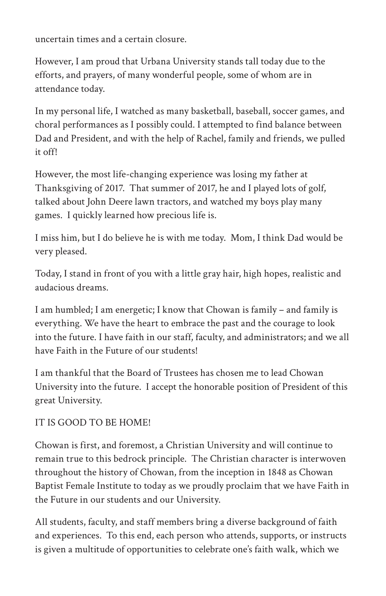uncertain times and a certain closure.

However, I am proud that Urbana University stands tall today due to the efforts, and prayers, of many wonderful people, some of whom are in attendance today.

In my personal life, I watched as many basketball, baseball, soccer games, and choral performances as I possibly could. I attempted to find balance between Dad and President, and with the help of Rachel, family and friends, we pulled it off!

However, the most life-changing experience was losing my father at Thanksgiving of 2017. That summer of 2017, he and I played lots of golf, talked about John Deere lawn tractors, and watched my boys play many games. I quickly learned how precious life is.

I miss him, but I do believe he is with me today. Mom, I think Dad would be very pleased.

Today, I stand in front of you with a little gray hair, high hopes, realistic and audacious dreams.

I am humbled; I am energetic; I know that Chowan is family – and family is everything. We have the heart to embrace the past and the courage to look into the future. I have faith in our staff, faculty, and administrators; and we all have Faith in the Future of our students!

I am thankful that the Board of Trustees has chosen me to lead Chowan University into the future. I accept the honorable position of President of this great University.

## IT IS GOOD TO BE HOME!

Chowan is first, and foremost, a Christian University and will continue to remain true to this bedrock principle. The Christian character is interwoven throughout the history of Chowan, from the inception in 1848 as Chowan Baptist Female Institute to today as we proudly proclaim that we have Faith in the Future in our students and our University.

All students, faculty, and staff members bring a diverse background of faith and experiences. To this end, each person who attends, supports, or instructs is given a multitude of opportunities to celebrate one's faith walk, which we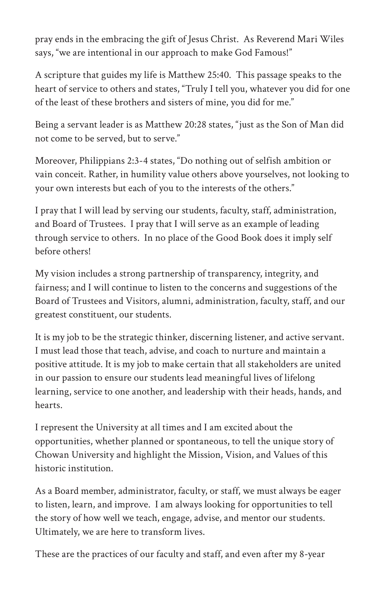pray ends in the embracing the gift of Jesus Christ. As Reverend Mari Wiles says, "we are intentional in our approach to make God Famous!"

A scripture that guides my life is Matthew 25:40. This passage speaks to the heart of service to others and states, "Truly I tell you, whatever you did for one of the least of these brothers and sisters of mine, you did for me."

Being a servant leader is as Matthew 20:28 states, "just as the Son of Man did not come to be served, but to serve."

Moreover, Philippians 2:3-4 states, "Do nothing out of selfish ambition or vain conceit. Rather, in humility value others above yourselves, not looking to your own interests but each of you to the interests of the others."

I pray that I will lead by serving our students, faculty, staff, administration, and Board of Trustees. I pray that I will serve as an example of leading through service to others. In no place of the Good Book does it imply self before others!

My vision includes a strong partnership of transparency, integrity, and fairness; and I will continue to listen to the concerns and suggestions of the Board of Trustees and Visitors, alumni, administration, faculty, staff, and our greatest constituent, our students.

It is my job to be the strategic thinker, discerning listener, and active servant. I must lead those that teach, advise, and coach to nurture and maintain a positive attitude. It is my job to make certain that all stakeholders are united in our passion to ensure our students lead meaningful lives of lifelong learning, service to one another, and leadership with their heads, hands, and hearts.

I represent the University at all times and I am excited about the opportunities, whether planned or spontaneous, to tell the unique story of Chowan University and highlight the Mission, Vision, and Values of this historic institution.

As a Board member, administrator, faculty, or staff, we must always be eager to listen, learn, and improve. I am always looking for opportunities to tell the story of how well we teach, engage, advise, and mentor our students. Ultimately, we are here to transform lives.

These are the practices of our faculty and staff, and even after my 8-year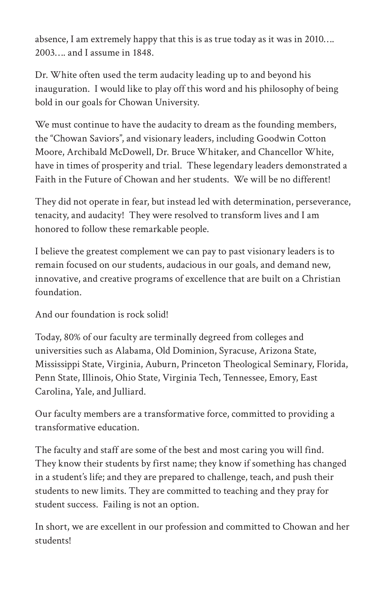absence, I am extremely happy that this is as true today as it was in 2010…. 2003 and Lassume in 1848

Dr. White often used the term audacity leading up to and beyond his inauguration. I would like to play off this word and his philosophy of being bold in our goals for Chowan University.

We must continue to have the audacity to dream as the founding members, the "Chowan Saviors", and visionary leaders, including Goodwin Cotton Moore, Archibald McDowell, Dr. Bruce Whitaker, and Chancellor White, have in times of prosperity and trial. These legendary leaders demonstrated a Faith in the Future of Chowan and her students. We will be no different!

They did not operate in fear, but instead led with determination, perseverance, tenacity, and audacity! They were resolved to transform lives and I am honored to follow these remarkable people.

I believe the greatest complement we can pay to past visionary leaders is to remain focused on our students, audacious in our goals, and demand new, innovative, and creative programs of excellence that are built on a Christian foundation.

And our foundation is rock solid!

Today, 80% of our faculty are terminally degreed from colleges and universities such as Alabama, Old Dominion, Syracuse, Arizona State, Mississippi State, Virginia, Auburn, Princeton Theological Seminary, Florida, Penn State, Illinois, Ohio State, Virginia Tech, Tennessee, Emory, East Carolina, Yale, and Julliard.

Our faculty members are a transformative force, committed to providing a transformative education.

The faculty and staff are some of the best and most caring you will find. They know their students by first name; they know if something has changed in a student's life; and they are prepared to challenge, teach, and push their students to new limits. They are committed to teaching and they pray for student success. Failing is not an option.

In short, we are excellent in our profession and committed to Chowan and her students!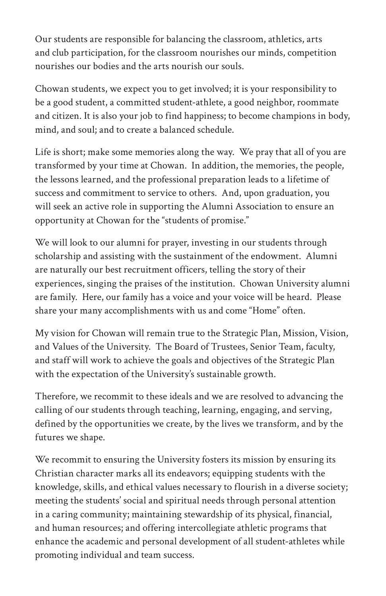Our students are responsible for balancing the classroom, athletics, arts and club participation, for the classroom nourishes our minds, competition nourishes our bodies and the arts nourish our souls.

Chowan students, we expect you to get involved; it is your responsibility to be a good student, a committed student-athlete, a good neighbor, roommate and citizen. It is also your job to find happiness; to become champions in body, mind, and soul; and to create a balanced schedule.

Life is short; make some memories along the way. We pray that all of you are transformed by your time at Chowan. In addition, the memories, the people, the lessons learned, and the professional preparation leads to a lifetime of success and commitment to service to others. And, upon graduation, you will seek an active role in supporting the Alumni Association to ensure an opportunity at Chowan for the "students of promise."

We will look to our alumni for prayer, investing in our students through scholarship and assisting with the sustainment of the endowment. Alumni are naturally our best recruitment officers, telling the story of their experiences, singing the praises of the institution. Chowan University alumni are family. Here, our family has a voice and your voice will be heard. Please share your many accomplishments with us and come "Home" often.

My vision for Chowan will remain true to the Strategic Plan, Mission, Vision, and Values of the University. The Board of Trustees, Senior Team, faculty, and staff will work to achieve the goals and objectives of the Strategic Plan with the expectation of the University's sustainable growth.

Therefore, we recommit to these ideals and we are resolved to advancing the calling of our students through teaching, learning, engaging, and serving, defined by the opportunities we create, by the lives we transform, and by the futures we shape.

We recommit to ensuring the University fosters its mission by ensuring its Christian character marks all its endeavors; equipping students with the knowledge, skills, and ethical values necessary to flourish in a diverse society; meeting the students' social and spiritual needs through personal attention in a caring community; maintaining stewardship of its physical, financial, and human resources; and offering intercollegiate athletic programs that enhance the academic and personal development of all student-athletes while promoting individual and team success.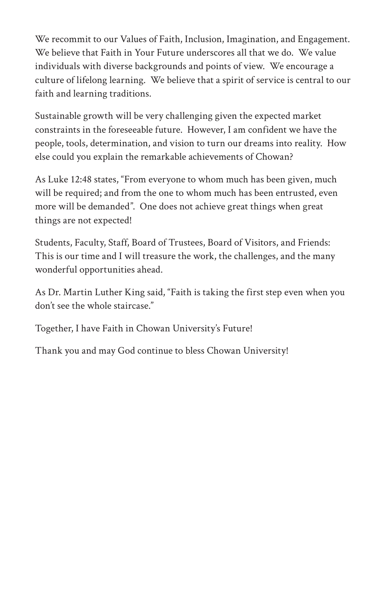We recommit to our Values of Faith, Inclusion, Imagination, and Engagement. We believe that Faith in Your Future underscores all that we do. We value individuals with diverse backgrounds and points of view. We encourage a culture of lifelong learning. We believe that a spirit of service is central to our faith and learning traditions.

Sustainable growth will be very challenging given the expected market constraints in the foreseeable future. However, I am confident we have the people, tools, determination, and vision to turn our dreams into reality. How else could you explain the remarkable achievements of Chowan?

As Luke 12:48 states, "From everyone to whom much has been given, much will be required; and from the one to whom much has been entrusted, even more will be demanded". One does not achieve great things when great things are not expected!

Students, Faculty, Staff, Board of Trustees, Board of Visitors, and Friends: This is our time and I will treasure the work, the challenges, and the many wonderful opportunities ahead.

As Dr. Martin Luther King said, "Faith is taking the first step even when you don't see the whole staircase."

Together, I have Faith in Chowan University's Future!

Thank you and may God continue to bless Chowan University!